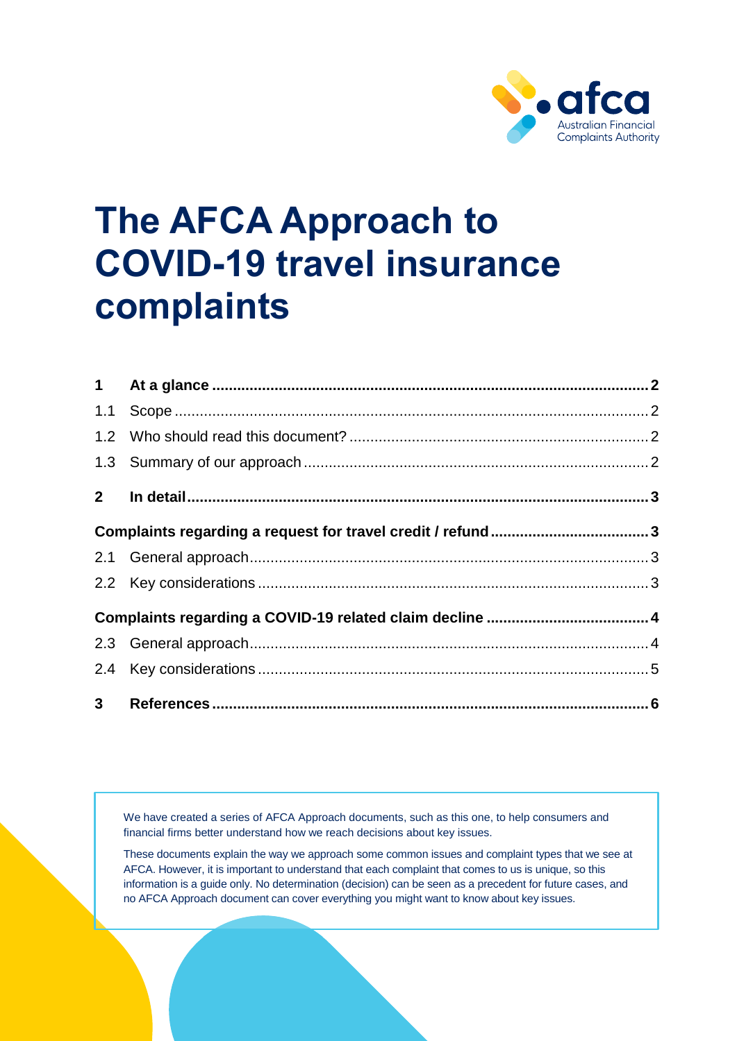

# **The AFCA Approach to COVID-19 travel insurance complaints**

We have created a series of AFCA Approach documents, such as this one, to help consumers and financial firms better understand how we reach decisions about key issues.

These documents explain the way we approach some common issues and complaint types that we see at AFCA. However, it is important to understand that each complaint that comes to us is unique, so this information is a guide only. No determination (decision) can be seen as a precedent for future cases, and no AFCA Approach document can cover everything you might want to know about key issues.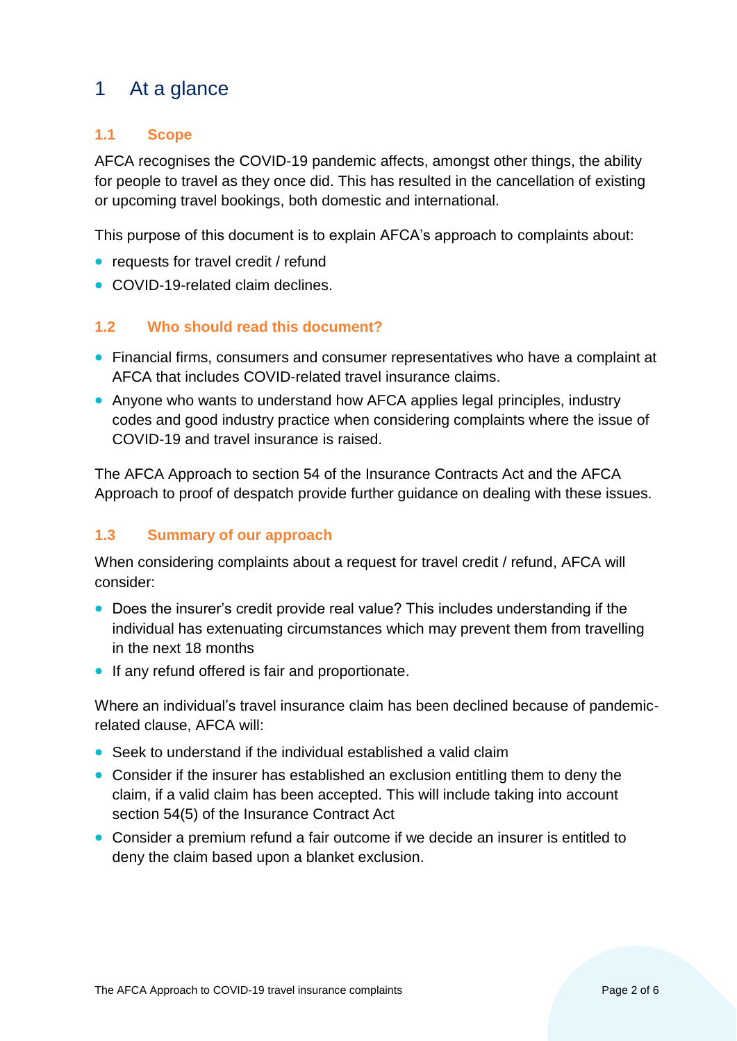# <span id="page-1-0"></span>1 At a glance

# <span id="page-1-1"></span>**1.1 Scope**

AFCA recognises the COVID-19 pandemic affects, amongst other things, the ability for people to travel as they once did. This has resulted in the cancellation of existing or upcoming travel bookings, both domestic and international.

This purpose of this document is to explain AFCA's approach to complaints about:

- requests for travel credit / refund
- COVID-19-related claim declines.

## <span id="page-1-2"></span>**1.2 Who should read this document?**

- Financial firms, consumers and consumer representatives who have a complaint at AFCA that includes COVID-related travel insurance claims.
- Anyone who wants to understand how AFCA applies legal principles, industry codes and good industry practice when considering complaints where the issue of COVID-19 and travel insurance is raised.

The AFCA Approach to section 54 of the Insurance Contracts Act and the AFCA Approach to proof of despatch provide further guidance on dealing with these issues.

## <span id="page-1-3"></span>**1.3 Summary of our approach**

When considering complaints about a request for travel credit / refund, AFCA will consider:

- Does the insurer's credit provide real value? This includes understanding if the individual has extenuating circumstances which may prevent them from travelling in the next 18 months
- If any refund offered is fair and proportionate.

Where an individual's travel insurance claim has been declined because of pandemicrelated clause, AFCA will:

- Seek to understand if the individual established a valid claim
- Consider if the insurer has established an exclusion entitling them to deny the claim, if a valid claim has been accepted. This will include taking into account section 54(5) of the Insurance Contract Act
- Consider a premium refund a fair outcome if we decide an insurer is entitled to deny the claim based upon a blanket exclusion.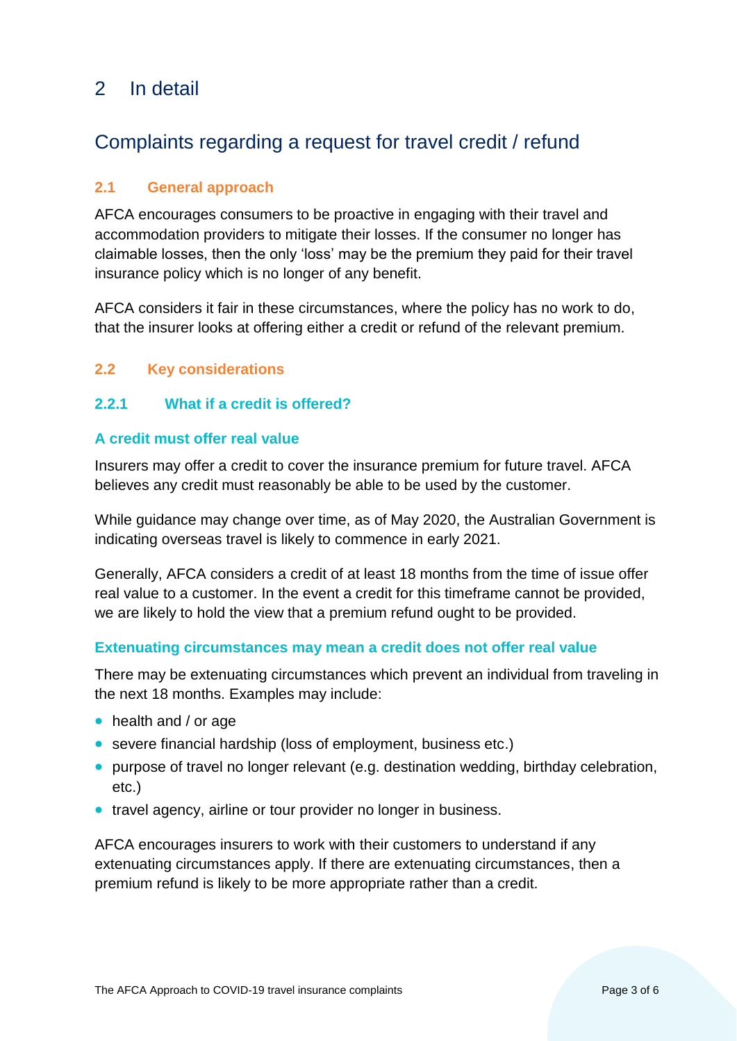# <span id="page-2-0"></span>2 In detail

# <span id="page-2-1"></span>Complaints regarding a request for travel credit / refund

# <span id="page-2-2"></span>**2.1 General approach**

AFCA encourages consumers to be proactive in engaging with their travel and accommodation providers to mitigate their losses. If the consumer no longer has claimable losses, then the only 'loss' may be the premium they paid for their travel insurance policy which is no longer of any benefit.

AFCA considers it fair in these circumstances, where the policy has no work to do, that the insurer looks at offering either a credit or refund of the relevant premium.

## <span id="page-2-3"></span>**2.2 Key considerations**

## **2.2.1 What if a credit is offered?**

## **A credit must offer real value**

Insurers may offer a credit to cover the insurance premium for future travel. AFCA believes any credit must reasonably be able to be used by the customer.

While guidance may change over time, as of May 2020, the Australian Government is indicating overseas travel is likely to commence in early 2021.

Generally, AFCA considers a credit of at least 18 months from the time of issue offer real value to a customer. In the event a credit for this timeframe cannot be provided, we are likely to hold the view that a premium refund ought to be provided.

### **Extenuating circumstances may mean a credit does not offer real value**

There may be extenuating circumstances which prevent an individual from traveling in the next 18 months. Examples may include:

- health and / or age
- severe financial hardship (loss of employment, business etc.)
- purpose of travel no longer relevant (e.g. destination wedding, birthday celebration, etc.)
- travel agency, airline or tour provider no longer in business.

AFCA encourages insurers to work with their customers to understand if any extenuating circumstances apply. If there are extenuating circumstances, then a premium refund is likely to be more appropriate rather than a credit.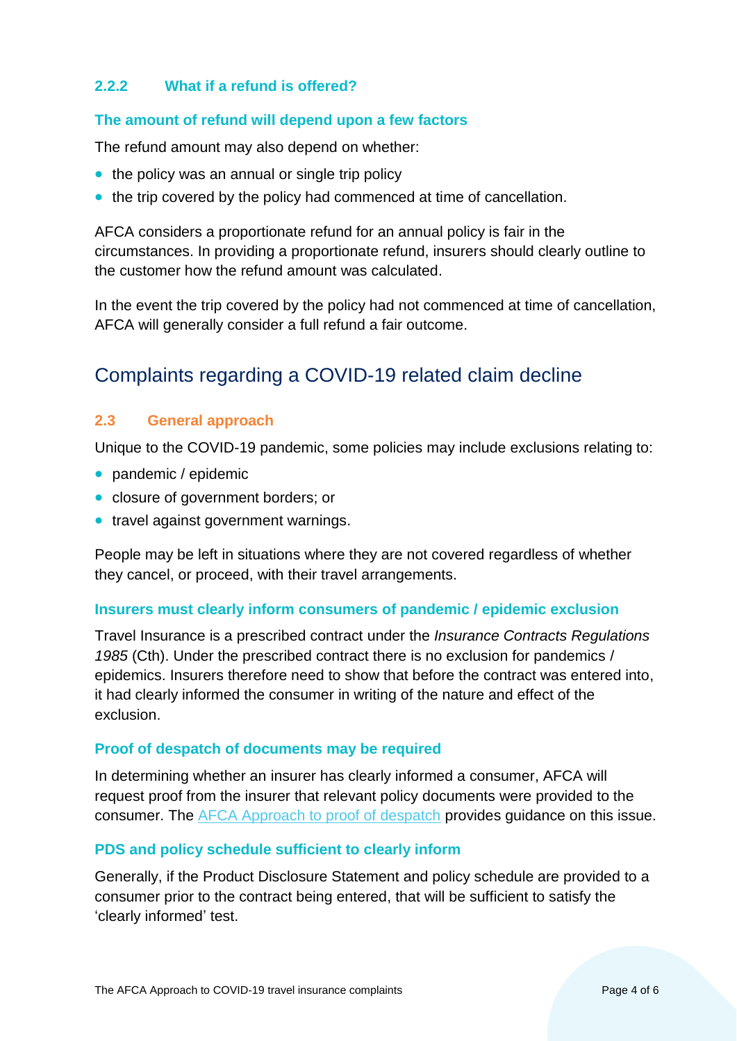### **2.2.2 What if a refund is offered?**

### **The amount of refund will depend upon a few factors**

The refund amount may also depend on whether:

- the policy was an annual or single trip policy
- the trip covered by the policy had commenced at time of cancellation.

AFCA considers a proportionate refund for an annual policy is fair in the circumstances. In providing a proportionate refund, insurers should clearly outline to the customer how the refund amount was calculated.

In the event the trip covered by the policy had not commenced at time of cancellation, AFCA will generally consider a full refund a fair outcome.

# <span id="page-3-0"></span>Complaints regarding a COVID-19 related claim decline

### <span id="page-3-1"></span>**2.3 General approach**

Unique to the COVID-19 pandemic, some policies may include exclusions relating to:

- pandemic / epidemic
- closure of government borders; or
- travel against government warnings.

People may be left in situations where they are not covered regardless of whether they cancel, or proceed, with their travel arrangements.

#### **Insurers must clearly inform consumers of pandemic / epidemic exclusion**

Travel Insurance is a prescribed contract under the *Insurance Contracts Regulations 1985* (Cth). Under the prescribed contract there is no exclusion for pandemics / epidemics. Insurers therefore need to show that before the contract was entered into, it had clearly informed the consumer in writing of the nature and effect of the exclusion.

#### **Proof of despatch of documents may be required**

In determining whether an insurer has clearly informed a consumer, AFCA will request proof from the insurer that relevant policy documents were provided to the consumer. The [AFCA Approach to proof of despatch](https://www.afca.org.au/media/930/download) provides guidance on this issue.

### **PDS and policy schedule sufficient to clearly inform**

Generally, if the Product Disclosure Statement and policy schedule are provided to a consumer prior to the contract being entered, that will be sufficient to satisfy the 'clearly informed' test.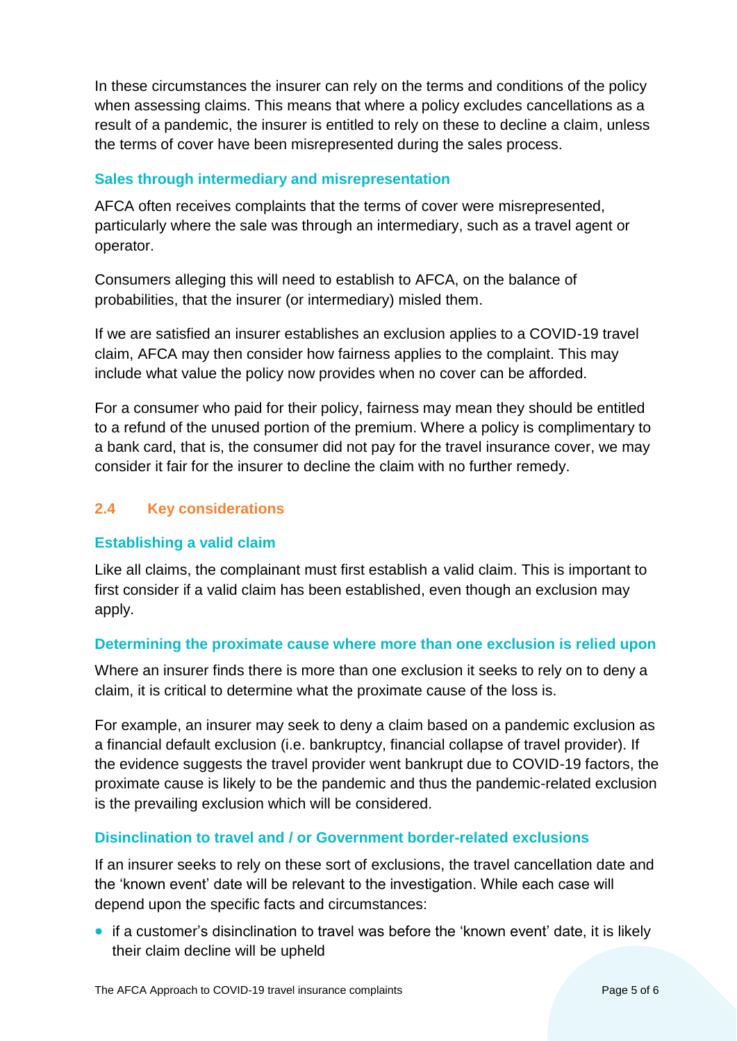In these circumstances the insurer can rely on the terms and conditions of the policy when assessing claims. This means that where a policy excludes cancellations as a result of a pandemic, the insurer is entitled to rely on these to decline a claim, unless the terms of cover have been misrepresented during the sales process.

### **Sales through intermediary and misrepresentation**

AFCA often receives complaints that the terms of cover were misrepresented, particularly where the sale was through an intermediary, such as a travel agent or operator.

Consumers alleging this will need to establish to AFCA, on the balance of probabilities, that the insurer (or intermediary) misled them.

If we are satisfied an insurer establishes an exclusion applies to a COVID-19 travel claim, AFCA may then consider how fairness applies to the complaint. This may include what value the policy now provides when no cover can be afforded.

For a consumer who paid for their policy, fairness may mean they should be entitled to a refund of the unused portion of the premium. Where a policy is complimentary to a bank card, that is, the consumer did not pay for the travel insurance cover, we may consider it fair for the insurer to decline the claim with no further remedy.

# <span id="page-4-0"></span>**2.4 Key considerations**

### **Establishing a valid claim**

Like all claims, the complainant must first establish a valid claim. This is important to first consider if a valid claim has been established, even though an exclusion may apply.

## **Determining the proximate cause where more than one exclusion is relied upon**

Where an insurer finds there is more than one exclusion it seeks to rely on to deny a claim, it is critical to determine what the proximate cause of the loss is.

For example, an insurer may seek to deny a claim based on a pandemic exclusion as a financial default exclusion (i.e. bankruptcy, financial collapse of travel provider). If the evidence suggests the travel provider went bankrupt due to COVID-19 factors, the proximate cause is likely to be the pandemic and thus the pandemic-related exclusion is the prevailing exclusion which will be considered.

## **Disinclination to travel and / or Government border-related exclusions**

If an insurer seeks to rely on these sort of exclusions, the travel cancellation date and the 'known event' date will be relevant to the investigation. While each case will depend upon the specific facts and circumstances:

• if a customer's disinclination to travel was before the 'known event' date, it is likely their claim decline will be upheld